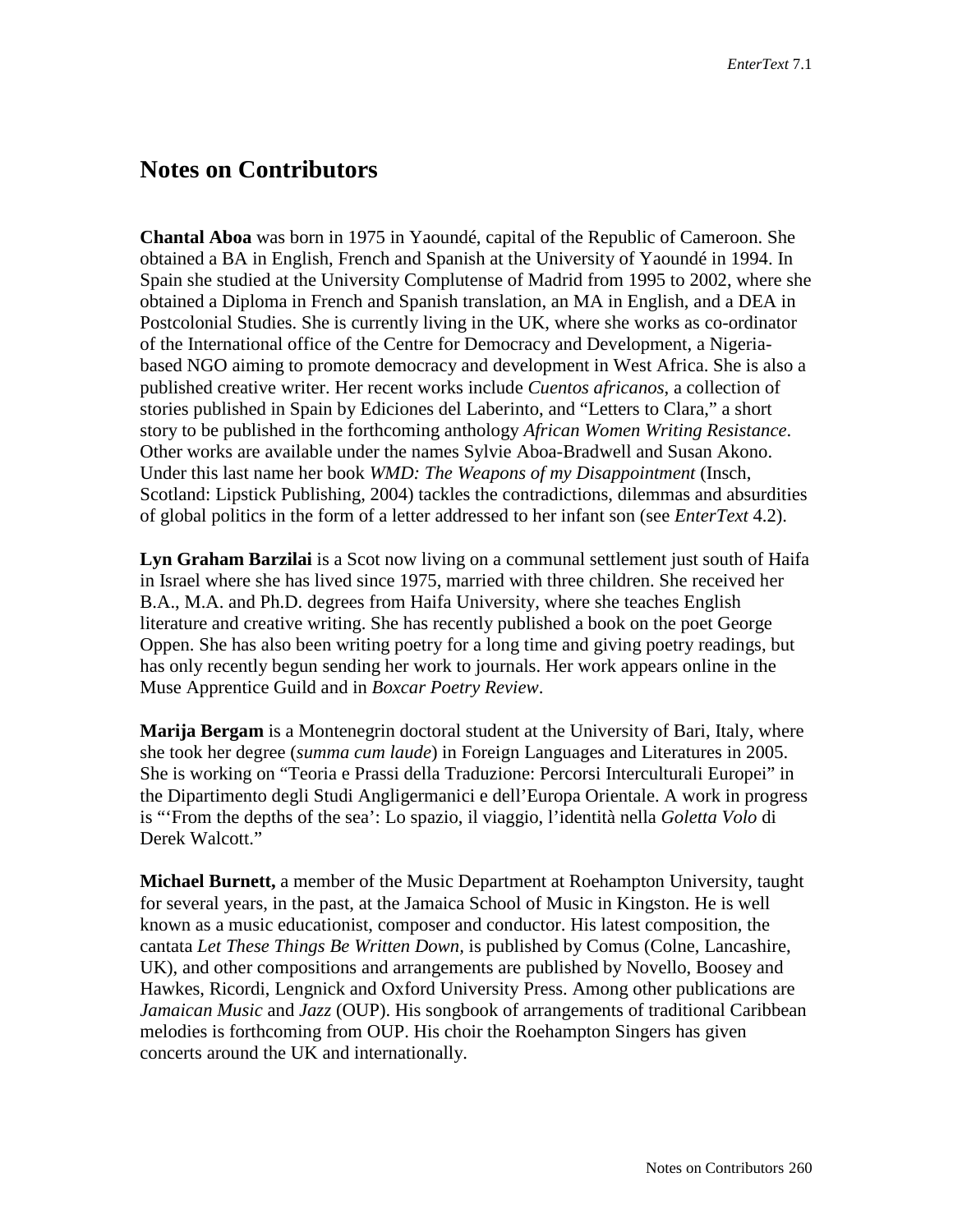## **Notes on Contributors**

**Chantal Aboa** was born in 1975 in Yaoundé, capital of the Republic of Cameroon. She obtained a BA in English, French and Spanish at the University of Yaoundé in 1994. In Spain she studied at the University Complutense of Madrid from 1995 to 2002, where she obtained a Diploma in French and Spanish translation, an MA in English, and a DEA in Postcolonial Studies. She is currently living in the UK, where she works as co-ordinator of the International office of the Centre for Democracy and Development, a Nigeriabased NGO aiming to promote democracy and development in West Africa. She is also a published creative writer. Her recent works include *Cuentos africanos*, a collection of stories published in Spain by Ediciones del Laberinto, and "Letters to Clara," a short story to be published in the forthcoming anthology *African Women Writing Resistance*. Other works are available under the names Sylvie Aboa-Bradwell and Susan Akono. Under this last name her book *WMD: The Weapons of my Disappointment* (Insch, Scotland: Lipstick Publishing, 2004) tackles the contradictions, dilemmas and absurdities of global politics in the form of a letter addressed to her infant son (see *EnterText* 4.2).

**Lyn Graham Barzilai** is a Scot now living on a communal settlement just south of Haifa in Israel where she has lived since 1975, married with three children. She received her B.A., M.A. and Ph.D. degrees from Haifa University, where she teaches English literature and creative writing. She has recently published a book on the poet George Oppen. She has also been writing poetry for a long time and giving poetry readings, but has only recently begun sending her work to journals. Her work appears online in the Muse Apprentice Guild and in *Boxcar Poetry Review*.

**Marija Bergam** is a Montenegrin doctoral student at the University of Bari, Italy, where she took her degree (*summa cum laude*) in Foreign Languages and Literatures in 2005. She is working on "Teoria e Prassi della Traduzione: Percorsi Interculturali Europei" in the Dipartimento degli Studi Angligermanici e dell'Europa Orientale. A work in progress is "'From the depths of the sea': Lo spazio, il viaggio, l'identità nella *Goletta Volo* di Derek Walcott."

**Michael Burnett,** a member of the Music Department at Roehampton University, taught for several years, in the past, at the Jamaica School of Music in Kingston. He is well known as a music educationist, composer and conductor. His latest composition, the cantata *Let These Things Be Written Down,* is published by Comus (Colne, Lancashire, UK), and other compositions and arrangements are published by Novello, Boosey and Hawkes, Ricordi, Lengnick and Oxford University Press. Among other publications are *Jamaican Music* and *Jazz* (OUP). His songbook of arrangements of traditional Caribbean melodies is forthcoming from OUP. His choir the Roehampton Singers has given concerts around the UK and internationally.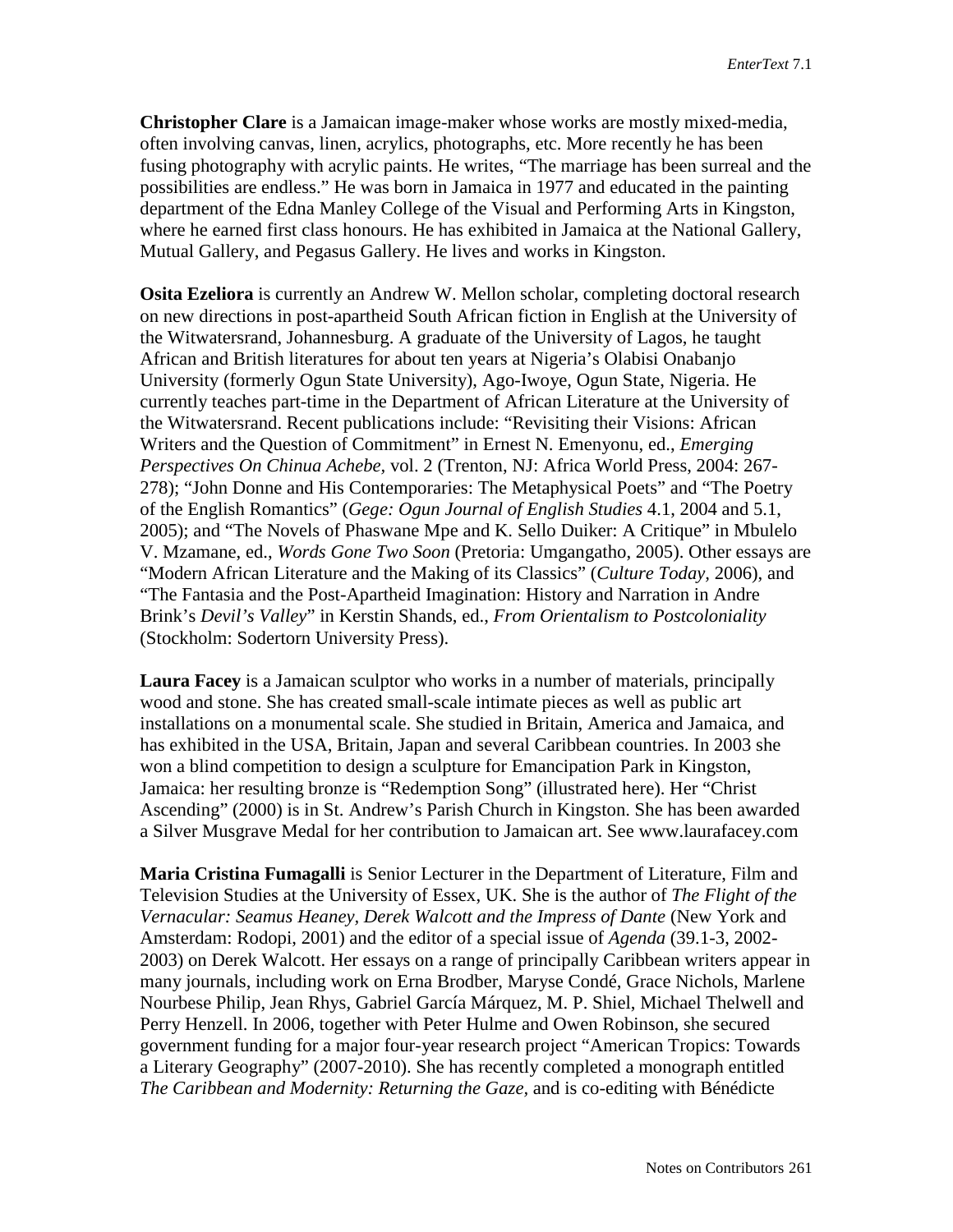**Christopher Clare** is a Jamaican image-maker whose works are mostly mixed-media, often involving canvas, linen, acrylics, photographs, etc. More recently he has been fusing photography with acrylic paints. He writes, "The marriage has been surreal and the possibilities are endless." He was born in Jamaica in 1977 and educated in the painting department of the Edna Manley College of the Visual and Performing Arts in Kingston, where he earned first class honours. He has exhibited in Jamaica at the National Gallery, Mutual Gallery, and Pegasus Gallery. He lives and works in Kingston.

**Osita Ezeliora** is currently an Andrew W. Mellon scholar, completing doctoral research on new directions in post-apartheid South African fiction in English at the University of the Witwatersrand, Johannesburg. A graduate of the University of Lagos, he taught African and British literatures for about ten years at Nigeria's Olabisi Onabanjo University (formerly Ogun State University), Ago-Iwoye, Ogun State, Nigeria. He currently teaches part-time in the Department of African Literature at the University of the Witwatersrand. Recent publications include: "Revisiting their Visions: African Writers and the Question of Commitment" in Ernest N. Emenyonu, ed., *Emerging Perspectives On Chinua Achebe,* vol. 2 (Trenton, NJ: Africa World Press, 2004: 267- 278); "John Donne and His Contemporaries: The Metaphysical Poets" and "The Poetry of the English Romantics" (*Gege: Ogun Journal of English Studies* 4.1, 2004 and 5.1, 2005); and "The Novels of Phaswane Mpe and K. Sello Duiker: A Critique" in Mbulelo V. Mzamane, ed., *Words Gone Two Soon* (Pretoria: Umgangatho, 2005). Other essays are "Modern African Literature and the Making of its Classics" (*Culture Today,* 2006), and "The Fantasia and the Post-Apartheid Imagination: History and Narration in Andre Brink's *Devil's Valley*" in Kerstin Shands, ed., *From Orientalism to Postcoloniality* (Stockholm: Sodertorn University Press).

**Laura Facey** is a Jamaican sculptor who works in a number of materials, principally wood and stone. She has created small-scale intimate pieces as well as public art installations on a monumental scale. She studied in Britain, America and Jamaica, and has exhibited in the USA, Britain, Japan and several Caribbean countries. In 2003 she won a blind competition to design a sculpture for Emancipation Park in Kingston, Jamaica: her resulting bronze is "Redemption Song" (illustrated here). Her "Christ Ascending" (2000) is in St. Andrew's Parish Church in Kingston. She has been awarded a Silver Musgrave Medal for her contribution to Jamaican art. See www.laurafacey.com

**Maria Cristina Fumagalli** is Senior Lecturer in the Department of Literature, Film and Television Studies at the University of Essex, UK. She is the author of *The Flight of the Vernacular: Seamus Heaney, Derek Walcott and the Impress of Dante* (New York and Amsterdam: Rodopi, 2001) and the editor of a special issue of *Agenda* (39.1-3, 2002- 2003) on Derek Walcott. Her essays on a range of principally Caribbean writers appear in many journals, including work on Erna Brodber, Maryse Condé, Grace Nichols, Marlene Nourbese Philip, Jean Rhys, Gabriel García Márquez, M. P. Shiel, Michael Thelwell and Perry Henzell. In 2006, together with Peter Hulme and Owen Robinson, she secured government funding for a major four-year research project "American Tropics: Towards a Literary Geography" (2007-2010). She has recently completed a monograph entitled *The Caribbean and Modernity: Returning the Gaze,* and is co-editing with Bénédicte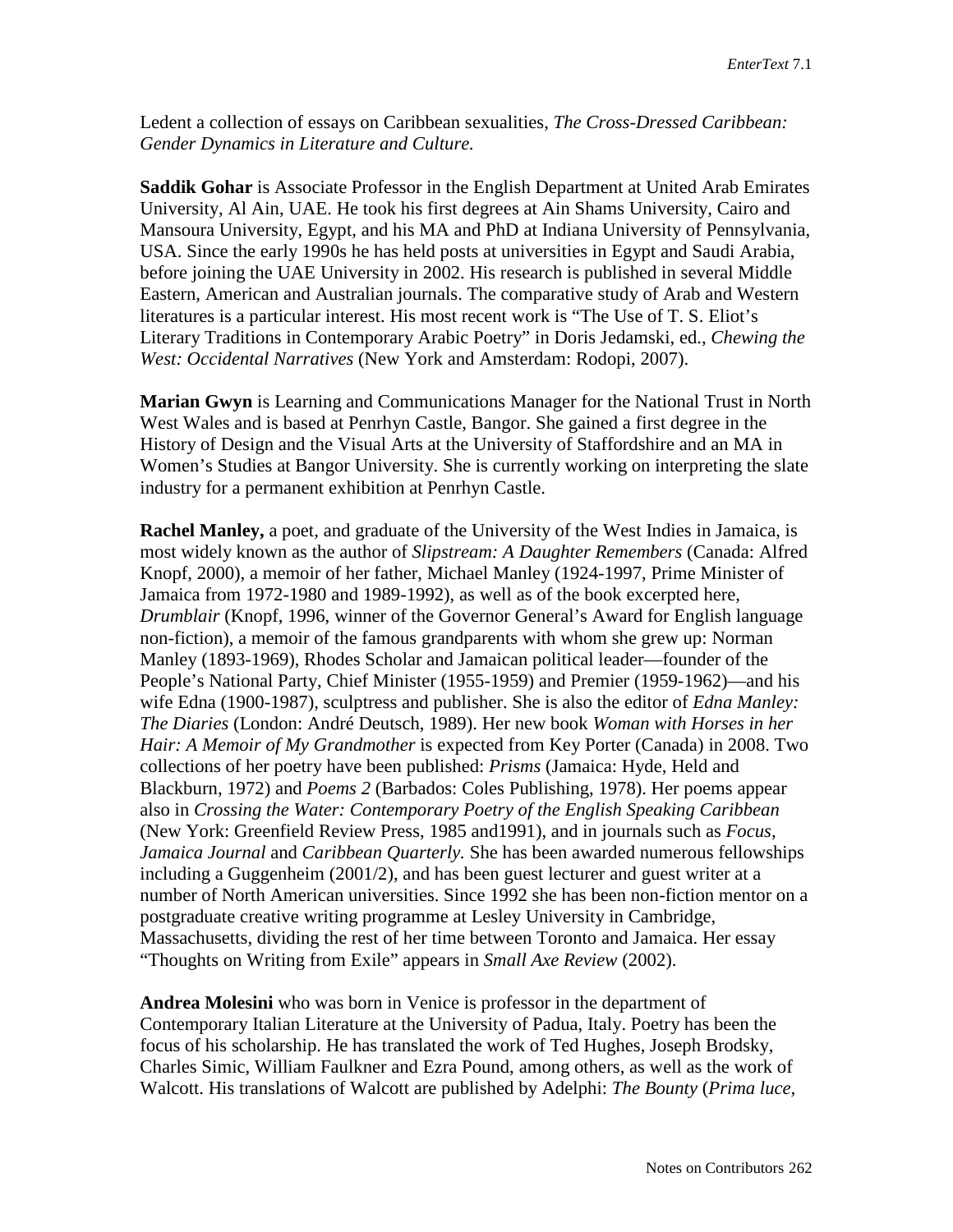Ledent a collection of essays on Caribbean sexualities, *The Cross-Dressed Caribbean: Gender Dynamics in Literature and Culture.*

**Saddik Gohar** is Associate Professor in the English Department at United Arab Emirates University, Al Ain, UAE. He took his first degrees at Ain Shams University, Cairo and Mansoura University, Egypt, and his MA and PhD at Indiana University of Pennsylvania, USA. Since the early 1990s he has held posts at universities in Egypt and Saudi Arabia, before joining the UAE University in 2002. His research is published in several Middle Eastern, American and Australian journals. The comparative study of Arab and Western literatures is a particular interest. His most recent work is "The Use of T. S. Eliot's Literary Traditions in Contemporary Arabic Poetry" in Doris Jedamski, ed., *Chewing the West: Occidental Narratives* (New York and Amsterdam: Rodopi, 2007).

**Marian Gwyn** is Learning and Communications Manager for the National Trust in North West Wales and is based at Penrhyn Castle, Bangor. She gained a first degree in the History of Design and the Visual Arts at the University of Staffordshire and an MA in Women's Studies at Bangor University. She is currently working on interpreting the slate industry for a permanent exhibition at Penrhyn Castle.

**Rachel Manley,** a poet, and graduate of the University of the West Indies in Jamaica, is most widely known as the author of *Slipstream: A Daughter Remembers* (Canada: Alfred Knopf, 2000), a memoir of her father, Michael Manley (1924-1997, Prime Minister of Jamaica from 1972-1980 and 1989-1992), as well as of the book excerpted here, *Drumblair* (Knopf, 1996, winner of the Governor General's Award for English language non-fiction), a memoir of the famous grandparents with whom she grew up: Norman Manley (1893-1969), Rhodes Scholar and Jamaican political leader—founder of the People's National Party, Chief Minister (1955-1959) and Premier (1959-1962)—and his wife Edna (1900-1987), sculptress and publisher. She is also the editor of *Edna Manley: The Diaries* (London: André Deutsch, 1989). Her new book *Woman with Horses in her Hair: A Memoir of My Grandmother* is expected from Key Porter (Canada) in 2008. Two collections of her poetry have been published: *Prisms* (Jamaica: Hyde, Held and Blackburn, 1972) and *Poems 2* (Barbados: Coles Publishing, 1978). Her poems appear also in *Crossing the Water: Contemporary Poetry of the English Speaking Caribbean* (New York: Greenfield Review Press, 1985 and1991), and in journals such as *Focus, Jamaica Journal* and *Caribbean Quarterly.* She has been awarded numerous fellowships including a Guggenheim (2001/2), and has been guest lecturer and guest writer at a number of North American universities. Since 1992 she has been non-fiction mentor on a postgraduate creative writing programme at Lesley University in Cambridge, Massachusetts, dividing the rest of her time between Toronto and Jamaica. Her essay "Thoughts on Writing from Exile" appears in *Small Axe Review* (2002).

**Andrea Molesini** who was born in Venice is professor in the department of Contemporary Italian Literature at the University of Padua, Italy. Poetry has been the focus of his scholarship. He has translated the work of Ted Hughes, Joseph Brodsky, Charles Simic, William Faulkner and Ezra Pound, among others, as well as the work of Walcott. His translations of Walcott are published by Adelphi: *The Bounty* (*Prima luce,*